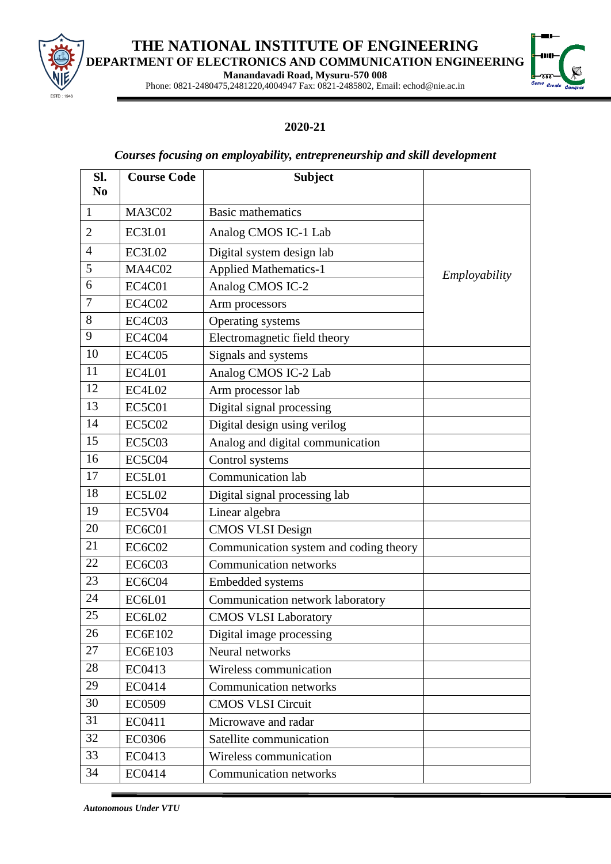

## **THE NATIONAL INSTITUTE OF ENGINEERING DEPARTMENT OF ELECTRONICS AND COMMUNICATION ENGINEERING**

**Manandavadi Road, Mysuru-570 008**



Phone: 0821-2480475,2481220,4004947 Fax: 0821-2485802, Email: echod@nie.ac.in

## **2020-21**

## *Courses focusing on employability, entrepreneurship and skill development*

| SI.<br>N <sub>0</sub> | <b>Course Code</b> | <b>Subject</b>                         |               |
|-----------------------|--------------------|----------------------------------------|---------------|
| $\mathbf{1}$          | <b>MA3C02</b>      | <b>Basic mathematics</b>               |               |
| $\overline{2}$        | EC3L01             | Analog CMOS IC-1 Lab                   |               |
| 4                     | EC3L02             | Digital system design lab              |               |
| 5                     | <b>MA4C02</b>      | <b>Applied Mathematics-1</b>           | Employability |
| 6                     | EC4C01             | Analog CMOS IC-2                       |               |
| $\overline{7}$        | <b>EC4C02</b>      | Arm processors                         |               |
| 8                     | EC4C03             | Operating systems                      |               |
| 9                     | EC4C04             | Electromagnetic field theory           |               |
| 10                    | <b>EC4C05</b>      | Signals and systems                    |               |
| 11                    | EC4L01             | Analog CMOS IC-2 Lab                   |               |
| 12                    | EC4L02             | Arm processor lab                      |               |
| 13                    | EC5C01             | Digital signal processing              |               |
| 14                    | <b>EC5C02</b>      | Digital design using verilog           |               |
| 15                    | <b>EC5C03</b>      | Analog and digital communication       |               |
| 16                    | <b>EC5C04</b>      | Control systems                        |               |
| 17                    | EC5L01             | Communication lab                      |               |
| 18                    | EC5L02             | Digital signal processing lab          |               |
| 19                    | <b>EC5V04</b>      | Linear algebra                         |               |
| 20                    | <b>EC6C01</b>      | <b>CMOS VLSI Design</b>                |               |
| 21                    | <b>EC6C02</b>      | Communication system and coding theory |               |
| 22                    | EC6C03             | <b>Communication networks</b>          |               |
| 23                    | EC6C04             | Embedded systems                       |               |
| 24                    | EC6L01             | Communication network laboratory       |               |
| 25                    | EC6L02             | <b>CMOS VLSI Laboratory</b>            |               |
| 26                    | <b>EC6E102</b>     | Digital image processing               |               |
| 27                    | <b>EC6E103</b>     | Neural networks                        |               |
| 28                    | EC0413             | Wireless communication                 |               |
| 29                    | EC0414             | Communication networks                 |               |
| 30                    | <b>EC0509</b>      | <b>CMOS VLSI Circuit</b>               |               |
| 31                    | EC0411             | Microwave and radar                    |               |
| 32                    | <b>EC0306</b>      | Satellite communication                |               |
| 33                    | EC0413             | Wireless communication                 |               |
| 34                    | EC0414             | Communication networks                 |               |